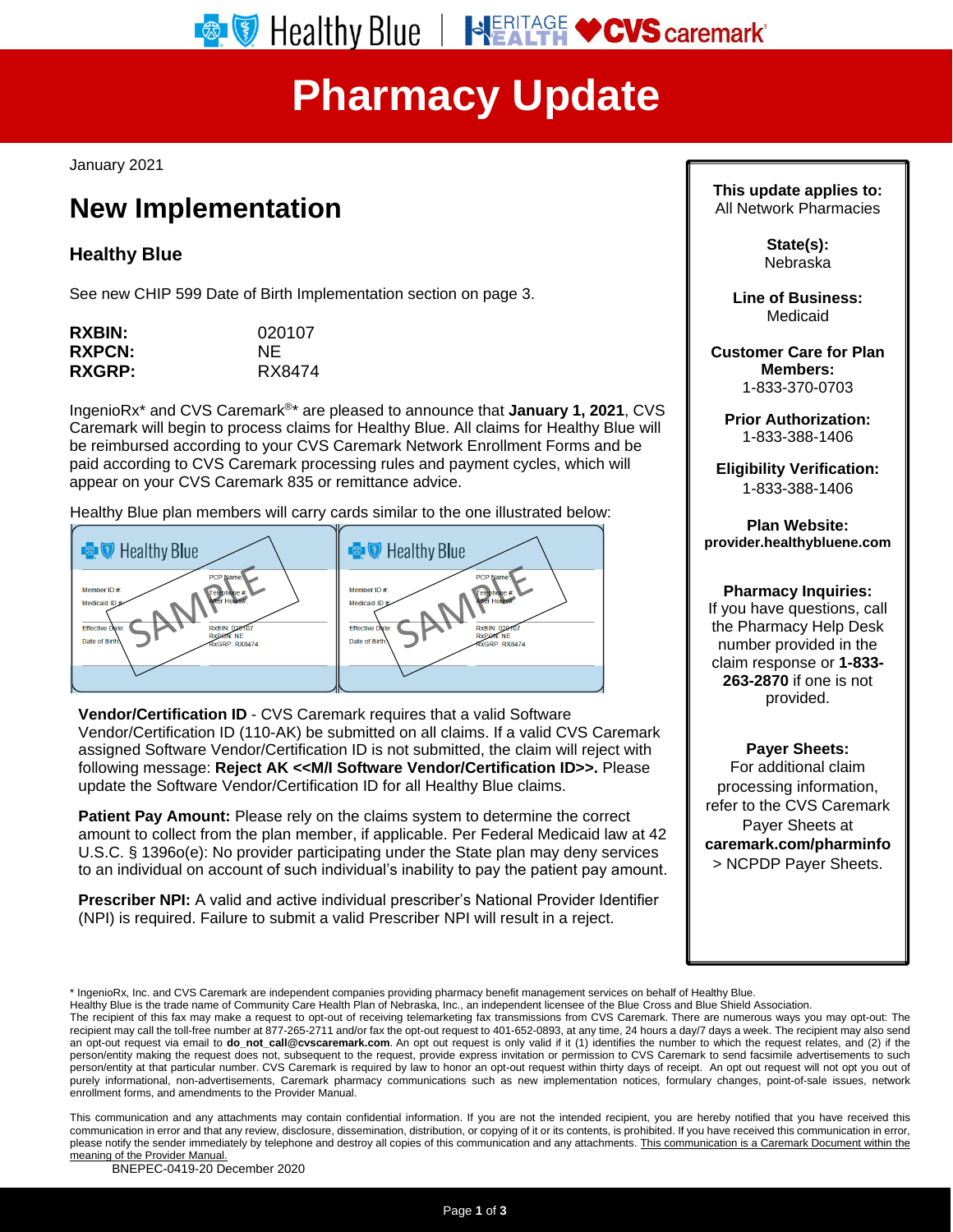# **Pharmacy Update**

January 2021

# **New Implementation**

## **Healthy Blue**

See new CHIP 599 Date of Birth Implementation section on page 3.

| 020107 |
|--------|
| NF.    |
| RX8474 |
|        |

IngenioRx\* and CVS Caremark®\* are pleased to announce that **January 1, 2021**, CVS Caremark will begin to process claims for Healthy Blue. All claims for Healthy Blue will be reimbursed according to your CVS Caremark Network Enrollment Forms and be paid according to CVS Caremark processing rules and payment cycles, which will appear on your CVS Caremark 835 or remittance advice.

Healthy Blue plan members will carry cards similar to the one illustrated below:



**Vendor/Certification ID** - CVS Caremark requires that a valid Software Vendor/Certification ID (110-AK) be submitted on all claims. If a valid CVS Caremark assigned Software Vendor/Certification ID is not submitted, the claim will reject with following message: **Reject AK <<M/I Software Vendor/Certification ID>>.** Please update the Software Vendor/Certification ID for all Healthy Blue claims.

**Patient Pay Amount:** Please rely on the claims system to determine the correct amount to collect from the plan member, if applicable. Per Federal Medicaid law at 42 U.S.C. § 1396o(e): No provider participating under the State plan may deny services to an individual on account of such individual's inability to pay the patient pay amount.

**Prescriber NPI:** A valid and active individual prescriber's National Provider Identifier (NPI) is required. Failure to submit a valid Prescriber NPI will result in a reject.

**This update applies to:** All Network Pharmacies

> **State(s):** Nebraska

**Line of Business:** Medicaid

**Customer Care for Plan Members:** 1-833-370-0703

**Prior Authorization:** 1-833-388-1406

**Eligibility Verification:** 1-833-388-1406

**Plan Website: provider.healthybluene.com**

### **Pharmacy Inquiries:**

If you have questions, call the Pharmacy Help Desk number provided in the claim response or **1-833- 263-2870** if one is not provided.

**Payer Sheets:**

For additional claim processing information, refer to the CVS Caremark Payer Sheets at **[caremark.com/pharminfo](http://www.caremark.com/pharminfo)** > NCPDP Payer Sheets.

\* IngenioRx, Inc. and CVS Caremark are independent companies providing pharmacy benefit management services on behalf of Healthy Blue.

Healthy Blue is the trade name of Community Care Health Plan of Nebraska, Inc., an independent licensee of the Blue Cross and Blue Shield Association.

This communication and any attachments may contain confidential information. If you are not the intended recipient, you are hereby notified that you have received this communication in error and that any review, disclosure, dissemination, distribution, or copying of it or its contents, is prohibited. If you have received this communication in error, please notify the sender immediately by telephone and destroy all copies of this communication and any attachments. This communication is a Caremark Document within the meaning of the Provider Manual.

BNEPEC-0419-20 December 2020

The recipient of this fax may make a request to opt-out of receiving telemarketing fax transmissions from CVS Caremark. There are numerous ways you may opt-out: The recipient may call the toll-free number at 877-265-2711 and/or fax the opt-out request to 401-652-0893, at any time, 24 hours a day/7 days a week. The recipient may also send an opt-out request via email to **[do\\_not\\_call@cvscaremark.com](mailto:do_not_call@cvscaremark.com)**. An opt out request is only valid if it (1) identifies the number to which the request relates, and (2) if the person/entity making the request does not, subsequent to the request, provide express invitation or permission to CVS Caremark to send facsimile advertisements to such person/entity at that particular number. CVS Caremark is required by law to honor an opt-out request within thirty days of receipt. An opt out request will not opt you out of purely informational, non-advertisements, Caremark pharmacy communications such as new implementation notices, formulary changes, point-of-sale issues, network enrollment forms, and amendments to the Provider Manual.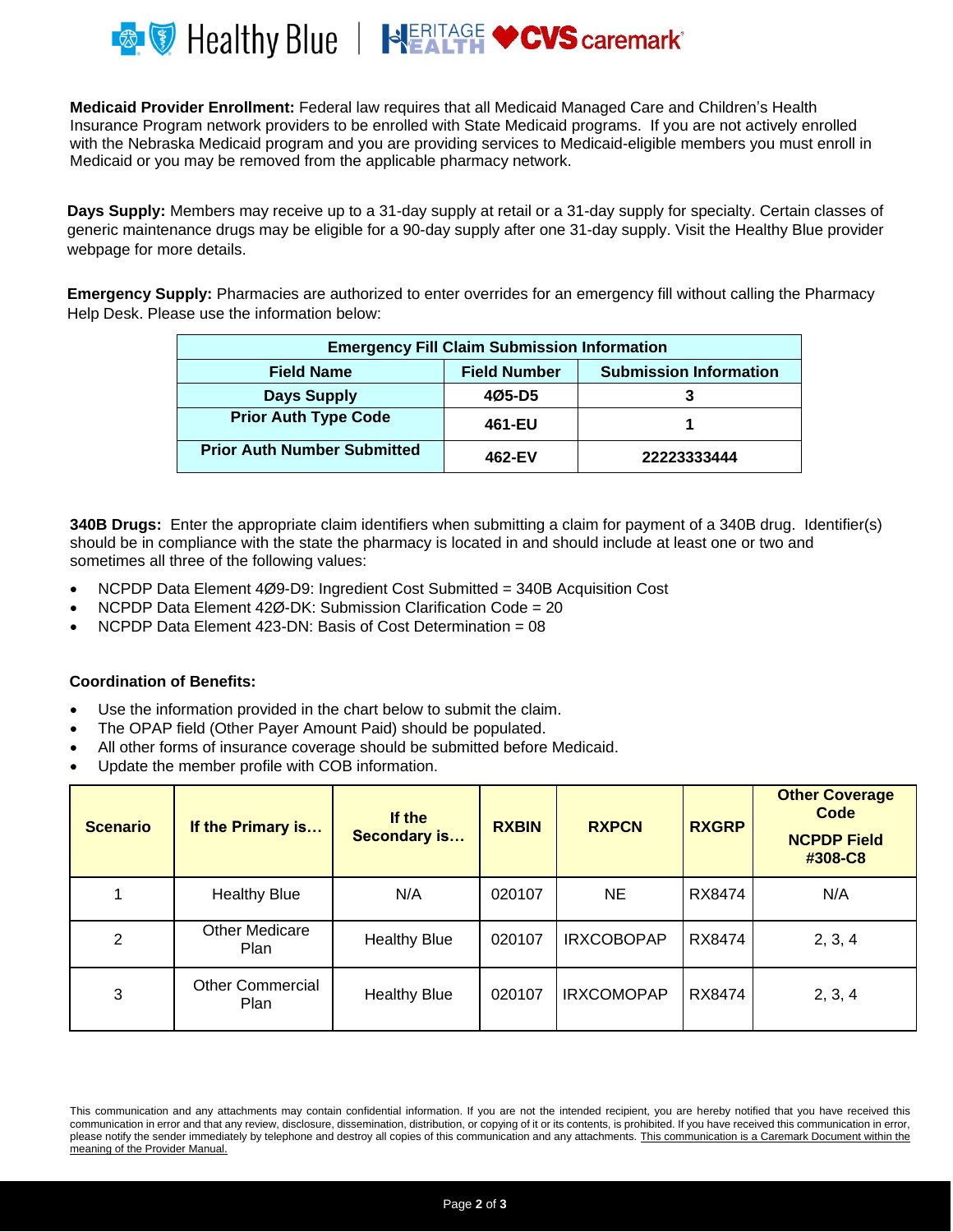

**Medicaid Provider Enrollment:** Federal law requires that all Medicaid Managed Care and Children's Health Insurance Program network providers to be enrolled with State Medicaid programs. If you are not actively enrolled with the Nebraska Medicaid program and you are providing services to Medicaid-eligible members you must enroll in Medicaid or you may be removed from the applicable pharmacy network.

**Days Supply:** Members may receive up to a 31-day supply at retail or a 31-day supply for specialty. Certain classes of generic maintenance drugs may be eligible for a 90-day supply after one 31-day supply. Visit the Healthy Blue provider webpage for more details.

**Emergency Supply:** Pharmacies are authorized to enter overrides for an emergency fill without calling the Pharmacy Help Desk. Please use the information below:

| <b>Emergency Fill Claim Submission Information</b> |                     |                               |  |  |  |
|----------------------------------------------------|---------------------|-------------------------------|--|--|--|
| <b>Field Name</b>                                  | <b>Field Number</b> | <b>Submission Information</b> |  |  |  |
| <b>Days Supply</b>                                 | 405-D5              |                               |  |  |  |
| <b>Prior Auth Type Code</b>                        | 461-EU              |                               |  |  |  |
| <b>Prior Auth Number Submitted</b>                 | 462-EV              | 22223333444                   |  |  |  |

**340B Drugs:** Enter the appropriate claim identifiers when submitting a claim for payment of a 340B drug. Identifier(s) should be in compliance with the state the pharmacy is located in and should include at least one or two and sometimes all three of the following values:

- NCPDP Data Element 4Ø9-D9: Ingredient Cost Submitted = 340B Acquisition Cost
- NCPDP Data Element 42Ø-DK: Submission Clarification Code = 20
- NCPDP Data Element 423-DN: Basis of Cost Determination = 08

#### **Coordination of Benefits:**

- Use the information provided in the chart below to submit the claim.
- The OPAP field (Other Payer Amount Paid) should be populated.
- All other forms of insurance coverage should be submitted before Medicaid.
- Update the member profile with COB information.

| <b>Scenario</b> | If the Primary is               | If the<br><b>Secondary is</b> | <b>RXBIN</b> | <b>RXPCN</b>      | <b>RXGRP</b> | <b>Other Coverage</b><br>Code<br><b>NCPDP Field</b><br>#308-C8 |
|-----------------|---------------------------------|-------------------------------|--------------|-------------------|--------------|----------------------------------------------------------------|
|                 | <b>Healthy Blue</b>             | N/A                           | 020107       | <b>NE</b>         | RX8474       | N/A                                                            |
| 2               | <b>Other Medicare</b><br>Plan   | <b>Healthy Blue</b>           | 020107       | <b>IRXCOBOPAP</b> | RX8474       | 2, 3, 4                                                        |
| 3               | <b>Other Commercial</b><br>Plan | <b>Healthy Blue</b>           | 020107       | <b>IRXCOMOPAP</b> | RX8474       | 2, 3, 4                                                        |

This communication and any attachments may contain confidential information. If you are not the intended recipient, you are hereby notified that you have received this communication in error and that any review, disclosure, dissemination, distribution, or copying of it or its contents, is prohibited. If you have received this communication in error, please notify the sender immediately by telephone and destroy all copies of this communication and any attachments. This communication is a Caremark Document within the meaning of the Provider Manual.